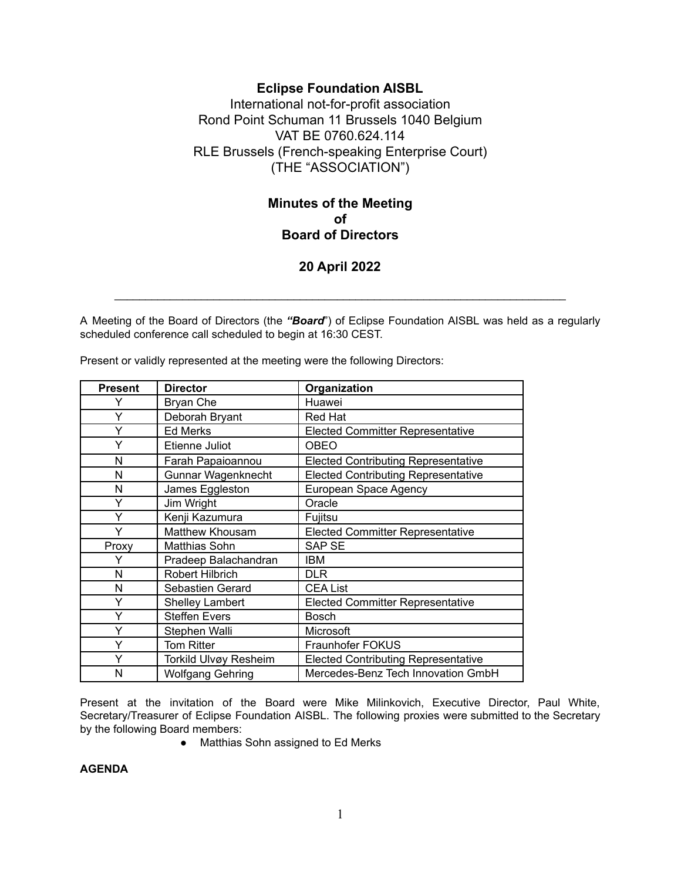## **Eclipse Foundation AISBL**

International not-for-profit association Rond Point Schuman 11 Brussels 1040 Belgium VAT BE 0760.624.114 RLE Brussels (French-speaking Enterprise Court) (THE "ASSOCIATION")

# **Minutes of the Meeting of Board of Directors**

## **20 April 2022**

 $\_$  , and the set of the set of the set of the set of the set of the set of the set of the set of the set of the set of the set of the set of the set of the set of the set of the set of the set of the set of the set of th

A Meeting of the Board of Directors (the *"Board*") of Eclipse Foundation AISBL was held as a regularly scheduled conference call scheduled to begin at 16:30 CEST.

| <b>Present</b> | <b>Director</b>         | Organization                               |
|----------------|-------------------------|--------------------------------------------|
| Y              | Bryan Che               | Huawei                                     |
| Y              | Deborah Bryant          | Red Hat                                    |
| Y              | <b>Ed Merks</b>         | <b>Elected Committer Representative</b>    |
| Y              | Etienne Juliot          | <b>OBEO</b>                                |
| N              | Farah Papaioannou       | <b>Elected Contributing Representative</b> |
| N              | Gunnar Wagenknecht      | <b>Elected Contributing Representative</b> |
| N              | James Eggleston         | European Space Agency                      |
| Y              | Jim Wright              | Oracle                                     |
| Y              | Kenji Kazumura          | Fujitsu                                    |
| Y              | Matthew Khousam         | <b>Elected Committer Representative</b>    |
| Proxy          | Matthias Sohn           | <b>SAP SE</b>                              |
| Y              | Pradeep Balachandran    | IBM                                        |
| N              | Robert Hilbrich         | DLR                                        |
| N              | Sebastien Gerard        | <b>CEA List</b>                            |
| Y              | <b>Shelley Lambert</b>  | <b>Elected Committer Representative</b>    |
| Y              | <b>Steffen Evers</b>    | <b>Bosch</b>                               |
| Y              | Stephen Walli           | Microsoft                                  |
| Y              | <b>Tom Ritter</b>       | Fraunhofer FOKUS                           |
| Y              | Torkild Ulvøy Resheim   | <b>Elected Contributing Representative</b> |
| N              | <b>Wolfgang Gehring</b> | Mercedes-Benz Tech Innovation GmbH         |

Present or validly represented at the meeting were the following Directors:

Present at the invitation of the Board were Mike Milinkovich, Executive Director, Paul White, Secretary/Treasurer of Eclipse Foundation AISBL. The following proxies were submitted to the Secretary by the following Board members:

● Matthias Sohn assigned to Ed Merks

**AGENDA**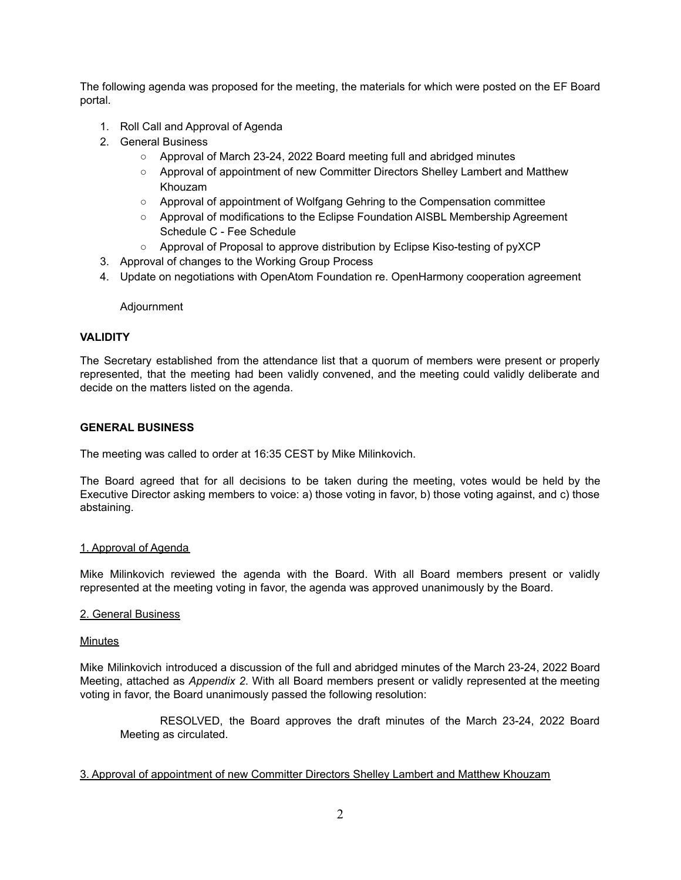The following agenda was proposed for the meeting, the materials for which were posted on the EF Board portal.

- 1. Roll Call and Approval of Agenda
- 2. General Business
	- Approval of March 23-24, 2022 Board meeting full and abridged minutes
	- Approval of appointment of new Committer Directors Shelley Lambert and Matthew Khouzam
	- Approval of appointment of Wolfgang Gehring to the Compensation committee
	- Approval of modifications to the Eclipse Foundation AISBL Membership Agreement Schedule C - Fee Schedule
	- Approval of Proposal to approve distribution by Eclipse Kiso-testing of pyXCP
- 3. Approval of changes to the Working Group Process
- 4. Update on negotiations with OpenAtom Foundation re. OpenHarmony cooperation agreement

#### Adjournment

#### **VALIDITY**

The Secretary established from the attendance list that a quorum of members were present or properly represented, that the meeting had been validly convened, and the meeting could validly deliberate and decide on the matters listed on the agenda.

#### **GENERAL BUSINESS**

The meeting was called to order at 16:35 CEST by Mike Milinkovich.

The Board agreed that for all decisions to be taken during the meeting, votes would be held by the Executive Director asking members to voice: a) those voting in favor, b) those voting against, and c) those abstaining.

#### 1. Approval of Agenda

Mike Milinkovich reviewed the agenda with the Board. With all Board members present or validly represented at the meeting voting in favor, the agenda was approved unanimously by the Board.

#### 2. General Business

#### **Minutes**

Mike Milinkovich introduced a discussion of the full and abridged minutes of the March 23-24, 2022 Board Meeting, attached as *Appendix 2*. With all Board members present or validly represented at the meeting voting in favor, the Board unanimously passed the following resolution:

RESOLVED, the Board approves the draft minutes of the March 23-24, 2022 Board Meeting as circulated.

#### 3. Approval of appointment of new Committer Directors Shelley Lambert and Matthew Khouzam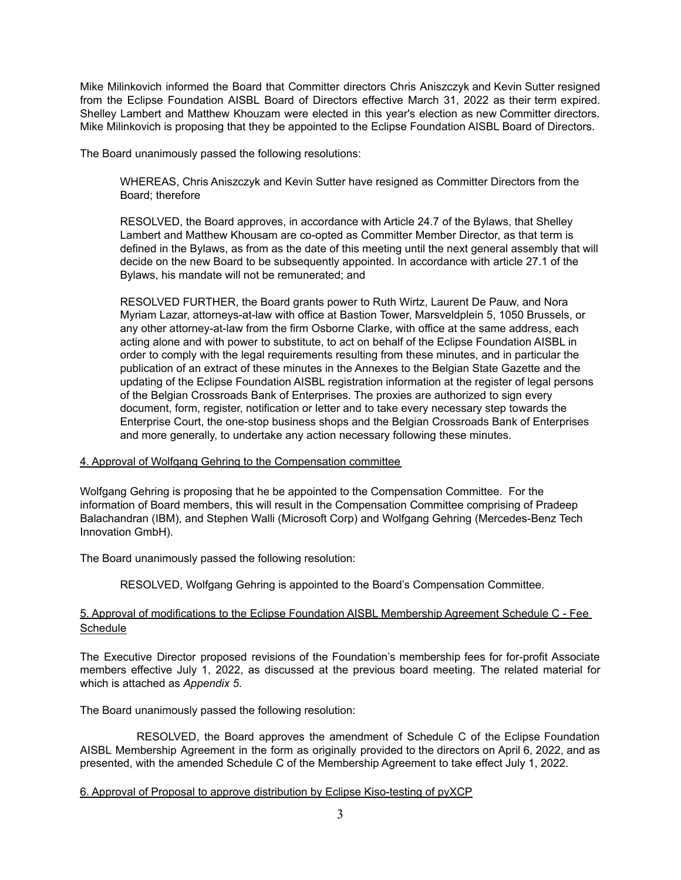Mike Milinkovich informed the Board that Committer directors Chris Aniszczyk and Kevin Sutter resigned from the Eclipse Foundation AISBL Board of Directors effective March 31, 2022 as their term expired. Shelley Lambert and Matthew Khouzam were elected in this year's election as new Committer directors. Mike Milinkovich is proposing that they be appointed to the Eclipse Foundation AISBL Board of Directors.

The Board unanimously passed the following resolutions:

WHEREAS, Chris Aniszczyk and Kevin Sutter have resigned as Committer Directors from the Board; therefore

RESOLVED, the Board approves, in accordance with Article 24.7 of the Bylaws, that Shelley Lambert and Matthew Khousam are co-opted as Committer Member Director, as that term is defined in the Bylaws, as from as the date of this meeting until the next general assembly that will decide on the new Board to be subsequently appointed. In accordance with article 27.1 of the Bylaws, his mandate will not be remunerated; and

RESOLVED FURTHER, the Board grants power to Ruth Wirtz, Laurent De Pauw, and Nora Myriam Lazar, attorneys-at-law with office at Bastion Tower, Marsveldplein 5, 1050 Brussels, or any other attorney-at-law from the firm Osborne Clarke, with office at the same address, each acting alone and with power to substitute, to act on behalf of the Eclipse Foundation AISBL in order to comply with the legal requirements resulting from these minutes, and in particular the publication of an extract of these minutes in the Annexes to the Belgian State Gazette and the updating of the Eclipse Foundation AISBL registration information at the register of legal persons of the Belgian Crossroads Bank of Enterprises. The proxies are authorized to sign every document, form, register, notification or letter and to take every necessary step towards the Enterprise Court, the one-stop business shops and the Belgian Crossroads Bank of Enterprises and more generally, to undertake any action necessary following these minutes.

#### 4. Approval of Wolfgang Gehring to the Compensation committee

Wolfgang Gehring is proposing that he be appointed to the Compensation Committee. For the information of Board members, this will result in the Compensation Committee comprising of Pradeep Balachandran (IBM), and Stephen Walli (Microsoft Corp) and Wolfgang Gehring (Mercedes-Benz Tech Innovation GmbH).

The Board unanimously passed the following resolution:

RESOLVED, Wolfgang Gehring is appointed to the Board's Compensation Committee.

### 5. Approval of modifications to the Eclipse Foundation AISBL Membership Agreement Schedule C - Fee **Schedule**

The Executive Director proposed revisions of the Foundation's membership fees for for-profit Associate members effective July 1, 2022, as discussed at the previous board meeting. The related material for which is attached as *Appendix 5*.

The Board unanimously passed the following resolution:

RESOLVED, the Board approves the amendment of Schedule C of the Eclipse Foundation AISBL Membership Agreement in the form as originally provided to the directors on April 6, 2022, and as presented, with the amended Schedule C of the Membership Agreement to take effect July 1, 2022.

### 6. Approval of Proposal to approve distribution by Eclipse Kiso-testing of pyXCP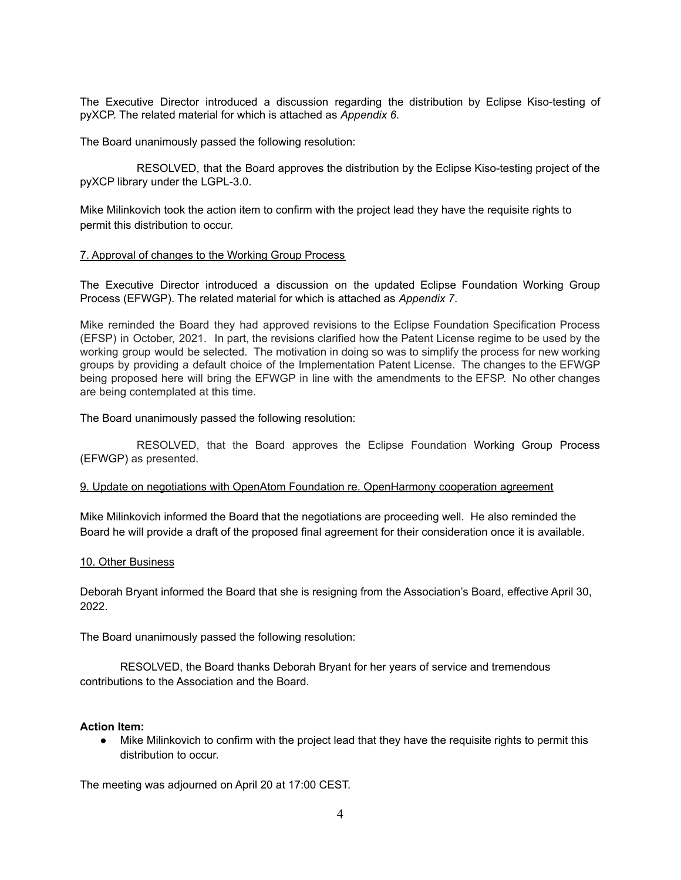The Executive Director introduced a discussion regarding the distribution by Eclipse Kiso-testing of pyXCP. The related material for which is attached as *Appendix 6*.

The Board unanimously passed the following resolution:

RESOLVED, that the Board approves the distribution by the Eclipse Kiso-testing project of the pyXCP library under the LGPL-3.0.

Mike Milinkovich took the action item to confirm with the project lead they have the requisite rights to permit this distribution to occur.

#### 7. Approval of changes to the Working Group Process

The Executive Director introduced a discussion on the updated Eclipse Foundation Working Group Process (EFWGP). The related material for which is attached as *Appendix 7*.

Mike reminded the Board they had approved revisions to the Eclipse Foundation Specification Process (EFSP) in October, 2021. In part, the revisions clarified how the Patent License regime to be used by the working group would be selected. The motivation in doing so was to simplify the process for new working groups by providing a default choice of the Implementation Patent License. The changes to the EFWGP being proposed here will bring the EFWGP in line with the amendments to the EFSP. No other changes are being contemplated at this time.

The Board unanimously passed the following resolution:

RESOLVED, that the Board approves the Eclipse Foundation Working Group Process (EFWGP) as presented.

#### 9. Update on negotiations with OpenAtom Foundation re. OpenHarmony cooperation agreement

Mike Milinkovich informed the Board that the negotiations are proceeding well. He also reminded the Board he will provide a draft of the proposed final agreement for their consideration once it is available.

#### 10. Other Business

Deborah Bryant informed the Board that she is resigning from the Association's Board, effective April 30, 2022.

The Board unanimously passed the following resolution:

RESOLVED, the Board thanks Deborah Bryant for her years of service and tremendous contributions to the Association and the Board.

#### **Action Item:**

● Mike Milinkovich to confirm with the project lead that they have the requisite rights to permit this distribution to occur.

The meeting was adjourned on April 20 at 17:00 CEST.